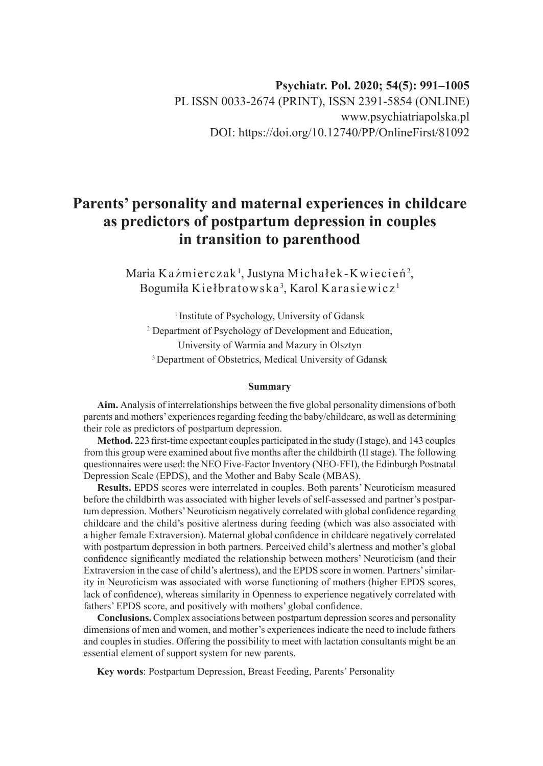# **Parents' personality and maternal experiences in childcare as predictors of postpartum depression in couples in transition to parenthood**

Maria Kaźmierczak<sup>1</sup>, Justyna Michałek-Kwiecień<sup>2</sup>, Bogumiła Kiełbratowska $^3$ , Karol Karasiewicz $^1$ 

<sup>1</sup> Institute of Psychology, University of Gdansk 2 Department of Psychology of Development and Education, University of Warmia and Mazury in Olsztyn <sup>3</sup> Department of Obstetrics, Medical University of Gdansk

#### **Summary**

**Aim.** Analysis of interrelationships between the five global personality dimensions of both parents and mothers' experiences regarding feeding the baby/childcare, as well as determining their role as predictors of postpartum depression.

**Method.** 223 first-time expectant couples participated in the study (I stage), and 143 couples from this group were examined about five months after the childbirth (II stage). The following questionnaires were used: the NEO Five-Factor Inventory (NEO-FFI), the Edinburgh Postnatal Depression Scale (EPDS), and the Mother and Baby Scale (MBAS).

**Results.** EPDS scores were interrelated in couples. Both parents' Neuroticism measured before the childbirth was associated with higher levels of self-assessed and partner's postpartum depression. Mothers' Neuroticism negatively correlated with global confidence regarding childcare and the child's positive alertness during feeding (which was also associated with a higher female Extraversion). Maternal global confidence in childcare negatively correlated with postpartum depression in both partners. Perceived child's alertness and mother's global confidence significantly mediated the relationship between mothers' Neuroticism (and their Extraversion in the case of child's alertness), and the EPDS score in women. Partners' similarity in Neuroticism was associated with worse functioning of mothers (higher EPDS scores, lack of confidence), whereas similarity in Openness to experience negatively correlated with fathers' EPDS score, and positively with mothers' global confidence.

**Conclusions.** Complex associations between postpartum depression scores and personality dimensions of men and women, and mother's experiences indicate the need to include fathers and couples in studies. Offering the possibility to meet with lactation consultants might be an essential element of support system for new parents.

**Key words**: Postpartum Depression, Breast Feeding, Parents' Personality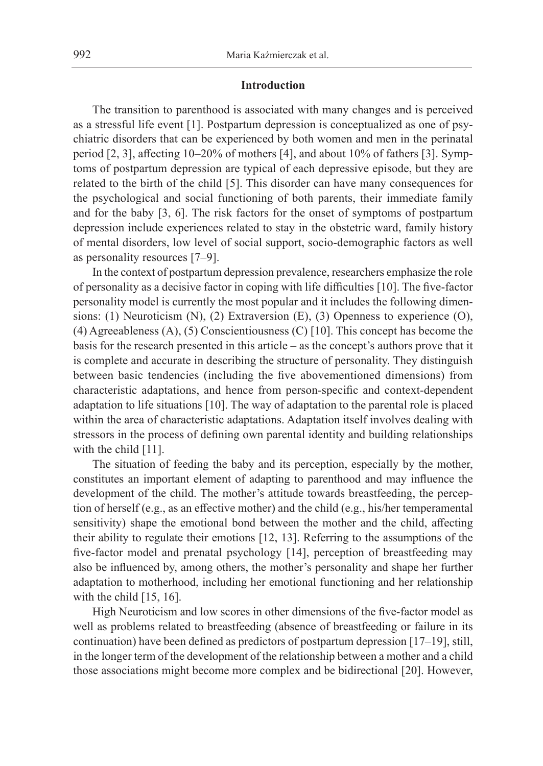### **Introduction**

The transition to parenthood is associated with many changes and is perceived as a stressful life event [1]. Postpartum depression is conceptualized as one of psychiatric disorders that can be experienced by both women and men in the perinatal period [2, 3], affecting 10–20% of mothers [4], and about 10% of fathers [3]. Symptoms of postpartum depression are typical of each depressive episode, but they are related to the birth of the child [5]. This disorder can have many consequences for the psychological and social functioning of both parents, their immediate family and for the baby [3, 6]. The risk factors for the onset of symptoms of postpartum depression include experiences related to stay in the obstetric ward, family history of mental disorders, low level of social support, socio-demographic factors as well as personality resources [7–9].

In the context of postpartum depression prevalence, researchers emphasize the role of personality as a decisive factor in coping with life difficulties [10]. The five-factor personality model is currently the most popular and it includes the following dimensions: (1) Neuroticism (N), (2) Extraversion (E), (3) Openness to experience (O), (4) Agreeableness (A), (5) Conscientiousness (C) [10]. This concept has become the basis for the research presented in this article – as the concept's authors prove that it is complete and accurate in describing the structure of personality. They distinguish between basic tendencies (including the five abovementioned dimensions) from characteristic adaptations, and hence from person-specific and context-dependent adaptation to life situations [10]. The way of adaptation to the parental role is placed within the area of characteristic adaptations. Adaptation itself involves dealing with stressors in the process of defining own parental identity and building relationships with the child [11].

The situation of feeding the baby and its perception, especially by the mother, constitutes an important element of adapting to parenthood and may influence the development of the child. The mother's attitude towards breastfeeding, the perception of herself (e.g., as an effective mother) and the child (e.g., his/her temperamental sensitivity) shape the emotional bond between the mother and the child, affecting their ability to regulate their emotions [12, 13]. Referring to the assumptions of the five-factor model and prenatal psychology [14], perception of breastfeeding may also be influenced by, among others, the mother's personality and shape her further adaptation to motherhood, including her emotional functioning and her relationship with the child  $[15, 16]$ .

High Neuroticism and low scores in other dimensions of the five-factor model as well as problems related to breastfeeding (absence of breastfeeding or failure in its continuation) have been defined as predictors of postpartum depression [17–19], still, in the longer term of the development of the relationship between a mother and a child those associations might become more complex and be bidirectional [20]. However,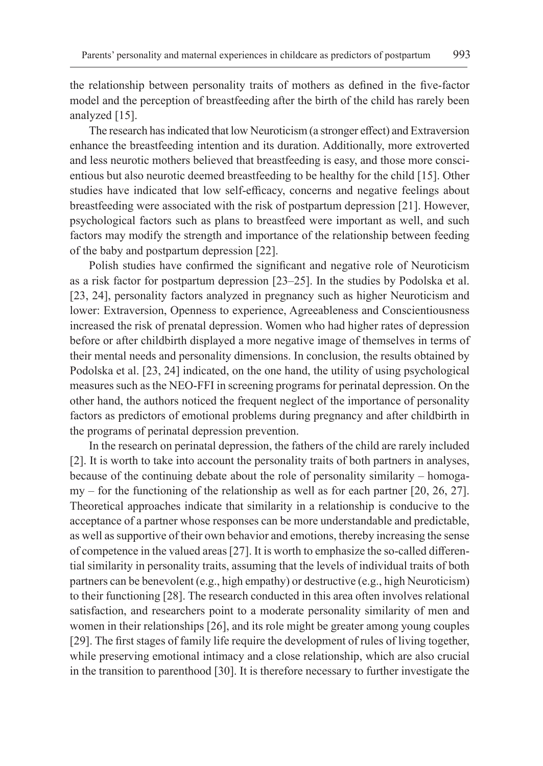the relationship between personality traits of mothers as defined in the five-factor model and the perception of breastfeeding after the birth of the child has rarely been analyzed [15].

The research has indicated that low Neuroticism (a stronger effect) and Extraversion enhance the breastfeeding intention and its duration. Additionally, more extroverted and less neurotic mothers believed that breastfeeding is easy, and those more conscientious but also neurotic deemed breastfeeding to be healthy for the child [15]. Other studies have indicated that low self-efficacy, concerns and negative feelings about breastfeeding were associated with the risk of postpartum depression [21]. However, psychological factors such as plans to breastfeed were important as well, and such factors may modify the strength and importance of the relationship between feeding of the baby and postpartum depression [22].

Polish studies have confirmed the significant and negative role of Neuroticism as a risk factor for postpartum depression [23–25]. In the studies by Podolska et al. [23, 24], personality factors analyzed in pregnancy such as higher Neuroticism and lower: Extraversion, Openness to experience, Agreeableness and Conscientiousness increased the risk of prenatal depression. Women who had higher rates of depression before or after childbirth displayed a more negative image of themselves in terms of their mental needs and personality dimensions. In conclusion, the results obtained by Podolska et al. [23, 24] indicated, on the one hand, the utility of using psychological measures such as the NEO-FFI in screening programs for perinatal depression. On the other hand, the authors noticed the frequent neglect of the importance of personality factors as predictors of emotional problems during pregnancy and after childbirth in the programs of perinatal depression prevention.

In the research on perinatal depression, the fathers of the child are rarely included [2]. It is worth to take into account the personality traits of both partners in analyses, because of the continuing debate about the role of personality similarity – homogamy – for the functioning of the relationship as well as for each partner [20, 26, 27]. Theoretical approaches indicate that similarity in a relationship is conducive to the acceptance of a partner whose responses can be more understandable and predictable, as well as supportive of their own behavior and emotions, thereby increasing the sense of competence in the valued areas [27]. It is worth to emphasize the so-called differential similarity in personality traits, assuming that the levels of individual traits of both partners can be benevolent (e.g., high empathy) or destructive (e.g., high Neuroticism) to their functioning [28]. The research conducted in this area often involves relational satisfaction, and researchers point to a moderate personality similarity of men and women in their relationships [26], and its role might be greater among young couples [29]. The first stages of family life require the development of rules of living together, while preserving emotional intimacy and a close relationship, which are also crucial in the transition to parenthood [30]. It is therefore necessary to further investigate the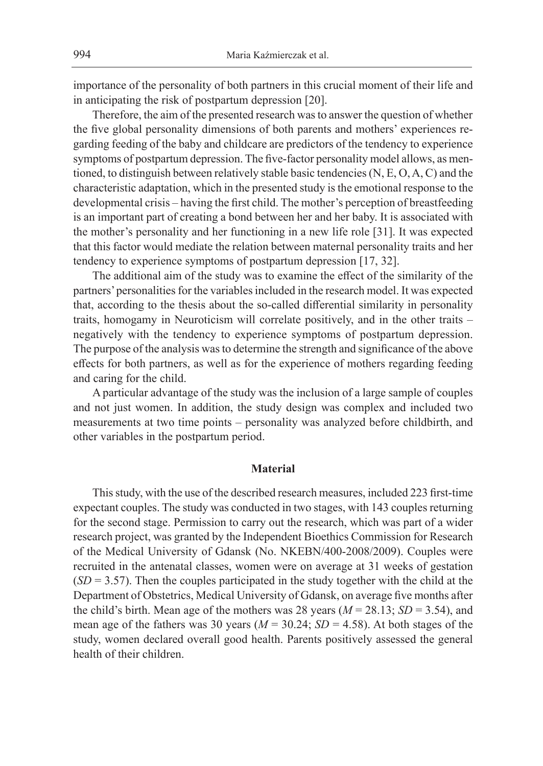importance of the personality of both partners in this crucial moment of their life and in anticipating the risk of postpartum depression [20].

Therefore, the aim of the presented research was to answer the question of whether the five global personality dimensions of both parents and mothers' experiences regarding feeding of the baby and childcare are predictors of the tendency to experience symptoms of postpartum depression. The five-factor personality model allows, as mentioned, to distinguish between relatively stable basic tendencies (N, E, O, A, C) and the characteristic adaptation, which in the presented study is the emotional response to the developmental crisis – having the first child. The mother's perception of breastfeeding is an important part of creating a bond between her and her baby. It is associated with the mother's personality and her functioning in a new life role [31]. It was expected that this factor would mediate the relation between maternal personality traits and her tendency to experience symptoms of postpartum depression [17, 32].

The additional aim of the study was to examine the effect of the similarity of the partners' personalities for the variables included in the research model. It was expected that, according to the thesis about the so-called differential similarity in personality traits, homogamy in Neuroticism will correlate positively, and in the other traits – negatively with the tendency to experience symptoms of postpartum depression. The purpose of the analysis was to determine the strength and significance of the above effects for both partners, as well as for the experience of mothers regarding feeding and caring for the child.

A particular advantage of the study was the inclusion of a large sample of couples and not just women. In addition, the study design was complex and included two measurements at two time points – personality was analyzed before childbirth, and other variables in the postpartum period.

#### **Material**

This study, with the use of the described research measures, included 223 first-time expectant couples. The study was conducted in two stages, with 143 couples returning for the second stage. Permission to carry out the research, which was part of a wider research project, was granted by the Independent Bioethics Commission for Research of the Medical University of Gdansk (No. NKEBN/400-2008/2009). Couples were recruited in the antenatal classes, women were on average at 31 weeks of gestation  $(SD = 3.57)$ . Then the couples participated in the study together with the child at the Department of Obstetrics, Medical University of Gdansk, on average five months after the child's birth. Mean age of the mothers was 28 years  $(M = 28.13; SD = 3.54)$ , and mean age of the fathers was 30 years ( $M = 30.24$ ;  $SD = 4.58$ ). At both stages of the study, women declared overall good health. Parents positively assessed the general health of their children.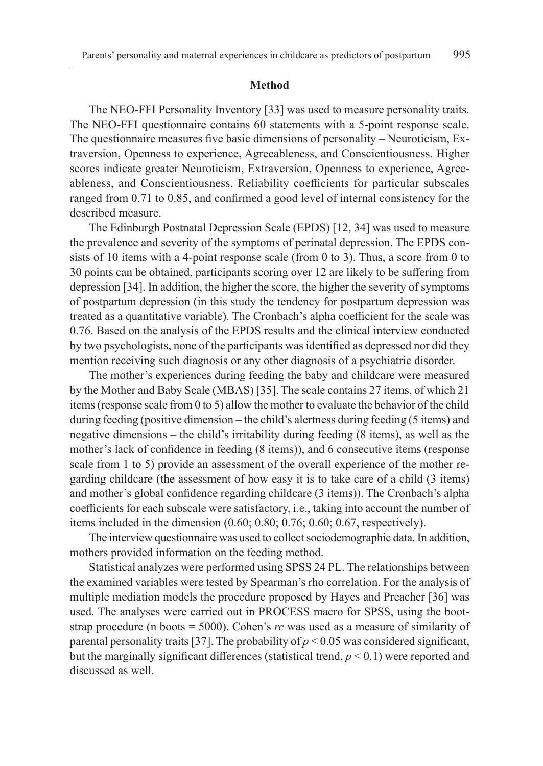#### **Method**

The NEO-FFI Personality Inventory [33] was used to measure personality traits. The NEO-FFI questionnaire contains 60 statements with a 5-point response scale. The questionnaire measures five basic dimensions of personality – Neuroticism, Extraversion, Openness to experience, Agreeableness, and Conscientiousness. Higher scores indicate greater Neuroticism, Extraversion, Openness to experience, Agreeableness, and Conscientiousness. Reliability coefficients for particular subscales ranged from 0.71 to 0.85, and confirmed a good level of internal consistency for the described measure.

The Edinburgh Postnatal Depression Scale (EPDS) [12, 34] was used to measure the prevalence and severity of the symptoms of perinatal depression. The EPDS consists of 10 items with a 4-point response scale (from 0 to 3). Thus, a score from 0 to 30 points can be obtained, participants scoring over 12 are likely to be suffering from depression [34]. In addition, the higher the score, the higher the severity of symptoms of postpartum depression (in this study the tendency for postpartum depression was treated as a quantitative variable). The Cronbach's alpha coefficient for the scale was 0.76. Based on the analysis of the EPDS results and the clinical interview conducted by two psychologists, none of the participants was identified as depressed nor did they mention receiving such diagnosis or any other diagnosis of a psychiatric disorder.

The mother's experiences during feeding the baby and childcare were measured by the Mother and Baby Scale (MBAS) [35]. The scale contains 27 items, of which 21 items (response scale from 0 to 5) allow the mother to evaluate the behavior of the child during feeding (positive dimension – the child's alertness during feeding (5 items) and negative dimensions – the child's irritability during feeding (8 items), as well as the mother's lack of confidence in feeding (8 items)), and 6 consecutive items (response scale from 1 to 5) provide an assessment of the overall experience of the mother regarding childcare (the assessment of how easy it is to take care of a child (3 items) and mother's global confidence regarding childcare (3 items)). The Cronbach's alpha coefficients for each subscale were satisfactory, i.e., taking into account the number of items included in the dimension (0.60; 0.80; 0.76; 0.60; 0.67, respectively).

The interview questionnaire was used to collect sociodemographic data. In addition, mothers provided information on the feeding method.

Statistical analyzes were performed using SPSS 24 PL. The relationships between the examined variables were tested by Spearman's rho correlation. For the analysis of multiple mediation models the procedure proposed by Hayes and Preacher [36] was used. The analyses were carried out in PROCESS macro for SPSS, using the bootstrap procedure (n boots = 5000). Cohen's *rc* was used as a measure of similarity of parental personality traits [37]. The probability of  $p < 0.05$  was considered significant, but the marginally significant differences (statistical trend, *p* < 0.1) were reported and discussed as well.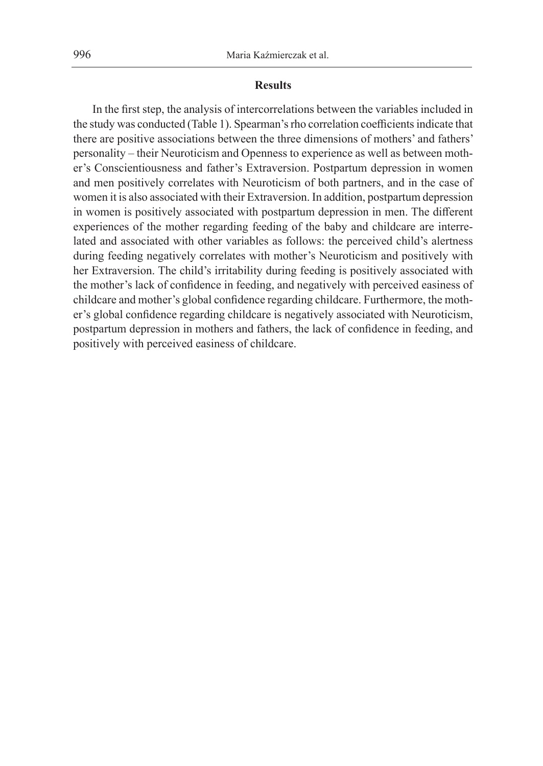#### **Results**

In the first step, the analysis of intercorrelations between the variables included in the study was conducted (Table 1). Spearman's rho correlation coefficients indicate that there are positive associations between the three dimensions of mothers' and fathers' personality – their Neuroticism and Openness to experience as well as between mother's Conscientiousness and father's Extraversion. Postpartum depression in women and men positively correlates with Neuroticism of both partners, and in the case of women it is also associated with their Extraversion. In addition, postpartum depression in women is positively associated with postpartum depression in men. The different experiences of the mother regarding feeding of the baby and childcare are interrelated and associated with other variables as follows: the perceived child's alertness during feeding negatively correlates with mother's Neuroticism and positively with her Extraversion. The child's irritability during feeding is positively associated with the mother's lack of confidence in feeding, and negatively with perceived easiness of childcare and mother's global confidence regarding childcare. Furthermore, the mother's global confidence regarding childcare is negatively associated with Neuroticism, postpartum depression in mothers and fathers, the lack of confidence in feeding, and positively with perceived easiness of childcare.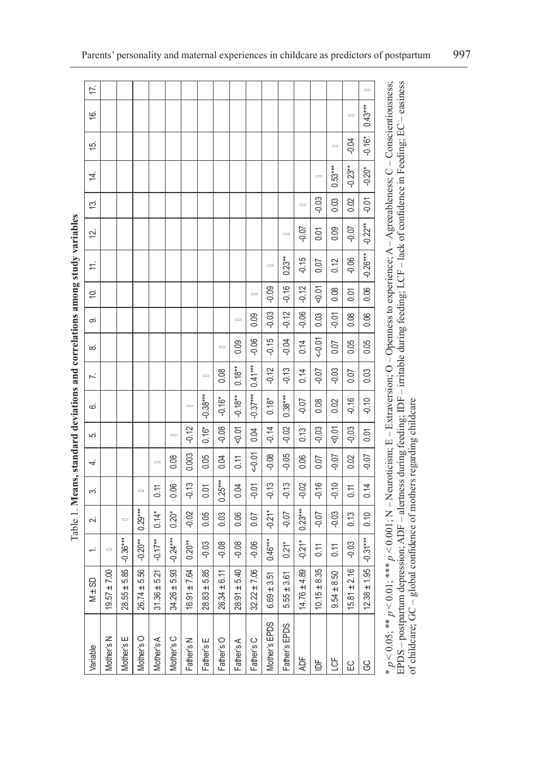| 17.                                                                                                      |                   |                        |                       |                        |                     |                   |                              |                 |                   |                  |                    |                    |                      |                 |                    |                 | $\equiv$         |
|----------------------------------------------------------------------------------------------------------|-------------------|------------------------|-----------------------|------------------------|---------------------|-------------------|------------------------------|-----------------|-------------------|------------------|--------------------|--------------------|----------------------|-----------------|--------------------|-----------------|------------------|
| <u>َ)</u>                                                                                                |                   |                        |                       |                        |                     |                   |                              |                 |                   |                  |                    |                    |                      |                 |                    | $\equiv$        | $0.43***$        |
| 15.                                                                                                      |                   |                        |                       |                        |                     |                   |                              |                 |                   |                  |                    |                    |                      |                 | $\equiv$           | $-0.04$         | $-0.16*$         |
| 4.                                                                                                       |                   |                        |                       |                        |                     |                   |                              |                 |                   |                  |                    |                    |                      | $\equiv$        | $0.53***$          | $-0.23**$       | $-0.20*$         |
| 13.                                                                                                      |                   |                        |                       |                        |                     |                   |                              |                 |                   |                  |                    |                    | $\qquad \qquad \Box$ | $-0.03$         | 0.03               | 0.02            | $-0.01$          |
| 12.                                                                                                      |                   |                        |                       |                        |                     |                   |                              |                 |                   |                  |                    | $\equiv$           | $-0.07$              | 0.01            | 0.09               | $-0.07$         | $-0.22***$       |
| $\pm$                                                                                                    |                   |                        |                       |                        |                     |                   |                              |                 |                   |                  | $\equiv$           | $0.23**$           | $-0.15$              | 0.07            | 0.12               | $-0.06$         | $-0.26***$       |
| ίÓ.                                                                                                      |                   |                        |                       |                        |                     |                   |                              |                 |                   | $\equiv$         | $-0.09$            | $-0.16$            | $-0.12$              | $-0.01$         | 0.08               | 0.01            | 0.06             |
| တ                                                                                                        |                   |                        |                       |                        |                     |                   |                              |                 | $\equiv$          | 0.09             | $-0.03$            | $-0.12$            | $-0.06$              | 0.03            | $-0.01$            | 0.08            | 0.06             |
| ∞                                                                                                        |                   |                        |                       |                        |                     |                   |                              | $\equiv$        | 0.09              | $-0.06$          | $-0.15$            | $-0.04$            | 0.14                 | $-0.01$         | 0.07               | 0.05            | 0.05             |
| $\ddot{\sim}$                                                                                            |                   |                        |                       |                        |                     |                   | $\qquad \qquad \blacksquare$ | 0.08            | $0.18***$         | $0.41***$        | $-0.12$            | $-0.13$            | 0.14                 | -0.07           | $-0.03$            | 0.07            | 0.03             |
| Extra Figure 1. Integrits, stationary deviations and correlations and the station of the station of<br>ن |                   |                        |                       |                        |                     | $\qquad \qquad =$ | $-0.38***$                   | $-0.16*$        | $-0.18**$         | $-0.37***$       | $0.18*$            | $0.38***$          | $-0.07$              | 0.08            | 0.02               | $-0.16$         | $-0.10$          |
| ΓÒ.                                                                                                      |                   |                        |                       |                        | $\equiv$            | $-0.12$           | $0.16*$                      | $-0.08$         | $-0.01$           | 0.04             | $-0.14$            | $-0.02$            | 0.13                 | $-0.03$         | $-0.07$            | $-0.03$         | 0.01             |
| 4.                                                                                                       |                   |                        |                       | $\equiv$               | 0.08                | 0.003             | 0.05                         | 0.04            | $\overline{0.11}$ | $-0.01$          | $-0.08$            | $-0.05$            | 0.06                 | 0.07            | $-0.07$            | 0.02            | $-0.07$          |
| က                                                                                                        |                   |                        | $\equiv$              | 0.11                   | 0.06                | $-0.13$           | 0.01                         | $0.25***$       | 0.04              | $-0.01$          | $-0.13$            | $-0.13$            | $-0.02$              | $-0.16$         | $-0.10$            | 0.11            | 0.14             |
| 2.                                                                                                       |                   | $\qquad \qquad =$      | $0.29***$             | $0.14*$                | $0.20*$             | $-0.02$           | 0.05                         | 0.03            | 0.06              | 0.07             | $-0.21*$           | $-0.07$            | $0.23***$            | $-0.07$         | $-0.03$            | 0.13            | 0.10             |
| $\div$                                                                                                   | $\qquad \qquad =$ | $-0.36***$             | $-0.20**$             | $-0.17**$              | $-0.24***$          | $0.20***$         | $-0.03$                      | $-0.08$         | $-0.08$           | $-0.06$          | $0.46***$          | $0.21*$            | $-0.21*$             | 0.11            | 0.11               | $-0.03$         | $-0.31***$       |
| SD<br>$\frac{1}{2}$                                                                                      | $19.57 \pm 7.00$  | .5.85<br>$28.55 \pm 1$ | 5.56<br>$26.74 \pm 1$ | 5.21<br>$\pm$<br>31.36 | 5.93<br>+l<br>34.26 | ±7.64<br>16.91    | 5.85<br>$28.83 \pm 1$        | ± 6.11<br>26.34 | 5.40<br>28.91     | $32.22 \pm 7.06$ | 3.51<br>$6.69 \pm$ | 3.61<br>$5.55 \pm$ | $14.76 \pm 4.89$     | ± 8.35<br>10.15 | 8.50<br>+ı<br>9.54 | ± 2.16<br>15.81 | ± 1.95<br>12.38. |
| Variable                                                                                                 | Mother's N        | Mother's E             | Mother's O            | Mother's A             | Mother's C          | Father's N        | Father's E                   | Father's O      | Father's A        | Father's C       | Mother's EPDS      | Father's EPDS      | Æ                    | ₫               | ξĒ                 | 입               | 8                |

مطلمات Table 1. **Means, standard deviations and correlations among study variables** نه د ام فاستسماه المند  $Table 1$  Mes

\* p < 0.05; \*\* p < 0.01; \*\*\* p < 0.001; N – Neuroticism; E – Extraversion; O – Openness to experience; A – Agreeableness; C – Conscientiousness;<br>EPDS – postpartum depression; ADF – alertness during feeding; IDF – irritabl \* *p* < 0.05; \*\* *p* < 0.01; \*\*\* *p* < 0.001; N – Neuroticism; E – Extraversion; O – Openness to experience; A – Agreeableness; C – Conscientiousness; EPDS – postpartum depression; ADF – alertness during feeding; IDF – irritable during feeding; LCF – lack of confidence in Feeding; EC – easiness of childcare; GC – global confidence of mothers regarding childcare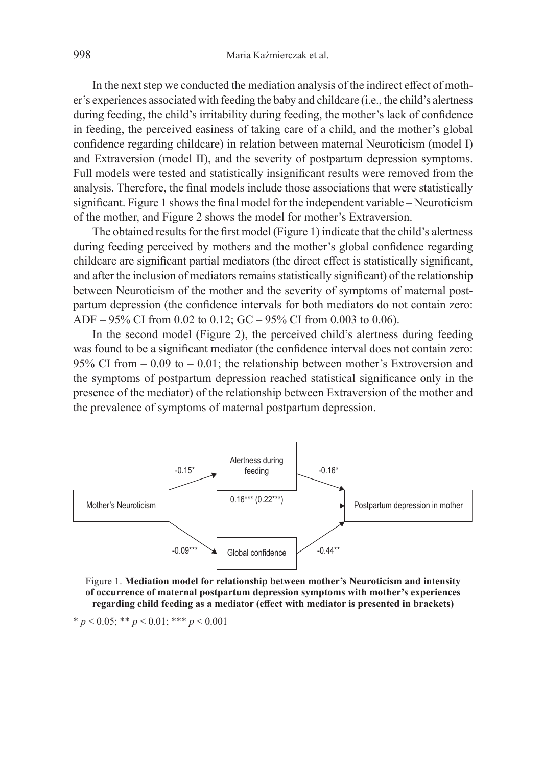In the next step we conducted the mediation analysis of the indirect effect of mother's experiences associated with feeding the baby and childcare (i.e., the child's alertness during feeding, the child's irritability during feeding, the mother's lack of confidence in feeding, the perceived easiness of taking care of a child, and the mother's global confidence regarding childcare) in relation between maternal Neuroticism (model I) and Extraversion (model II), and the severity of postpartum depression symptoms. Full models were tested and statistically insignificant results were removed from the analysis. Therefore, the final models include those associations that were statistically significant. Figure 1 shows the final model for the independent variable – Neuroticism of the mother, and Figure 2 shows the model for mother's Extraversion.

The obtained results for the first model (Figure 1) indicate that the child's alertness during feeding perceived by mothers and the mother's global confidence regarding childcare are significant partial mediators (the direct effect is statistically significant, and after the inclusion of mediators remains statistically significant) of the relationship between Neuroticism of the mother and the severity of symptoms of maternal postpartum depression (the confidence intervals for both mediators do not contain zero: ADF – 95% CI from 0.02 to 0.12; GC – 95% CI from 0.003 to 0.06).

In the second model (Figure 2), the perceived child's alertness during feeding was found to be a significant mediator (the confidence interval does not contain zero: 95% CI from – 0.09 to – 0.01; the relationship between mother's Extroversion and the symptoms of postpartum depression reached statistical significance only in the presence of the mediator) of the relationship between Extraversion of the mother and the prevalence of symptoms of maternal postpartum depression.



Figure 1. **Mediation model for relationship between mother's Neuroticism and intensity of occurrence of maternal postpartum depression symptoms with mother's experiences regarding child feeding as a mediator (effect with mediator is presented in brackets)**

$$
* p < 0.05; ** p < 0.01; *** p < 0.001
$$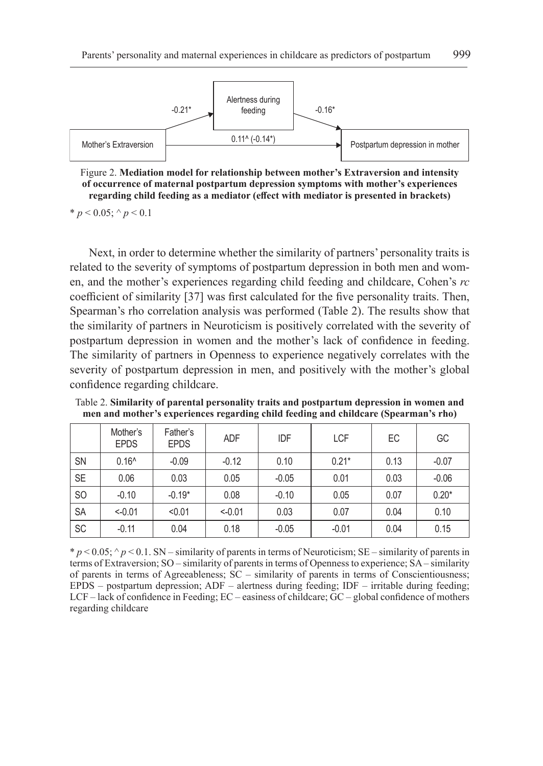

Figure 2. **Mediation model for relationship between mother's Extraversion and intensity of occurrence of maternal postpartum depression symptoms with mother's experiences regarding child feeding as a mediator (effect with mediator is presented in brackets)**

\* *p* < 0.05;  $\land$  *p* < 0.1

Next, in order to determine whether the similarity of partners' personality traits is related to the severity of symptoms of postpartum depression in both men and women, and the mother's experiences regarding child feeding and childcare, Cohen's *rc* coefficient of similarity [37] was first calculated for the five personality traits. Then, Spearman's rho correlation analysis was performed (Table 2). The results show that the similarity of partners in Neuroticism is positively correlated with the severity of postpartum depression in women and the mother's lack of confidence in feeding. The similarity of partners in Openness to experience negatively correlates with the severity of postpartum depression in men, and positively with the mother's global confidence regarding childcare.

|                | Mother's<br><b>EPDS</b> | Father's<br><b>EPDS</b> | <b>ADF</b> | IDF     | <b>LCF</b> | EC   | GC      |
|----------------|-------------------------|-------------------------|------------|---------|------------|------|---------|
| <b>SN</b>      | $0.16^$                 | $-0.09$                 | $-0.12$    | 0.10    | $0.21*$    | 0.13 | $-0.07$ |
| <b>SE</b>      | 0.06                    | 0.03                    | 0.05       | $-0.05$ | 0.01       | 0.03 | $-0.06$ |
| S <sub>O</sub> | $-0.10$                 | $-0.19*$                | 0.08       | $-0.10$ | 0.05       | 0.07 | $0.20*$ |
| <b>SA</b>      | $< -0.01$               | < 0.01                  | $< -0.01$  | 0.03    | 0.07       | 0.04 | 0.10    |
| <b>SC</b>      | $-0.11$                 | 0.04                    | 0.18       | $-0.05$ | $-0.01$    | 0.04 | 0.15    |

Table 2. **Similarity of parental personality traits and postpartum depression in women and men and mother's experiences regarding child feeding and childcare (Spearman's rho)**

 $p < 0.05$ ;  $p < 0.1$ . SN – similarity of parents in terms of Neuroticism; SE – similarity of parents in terms of Extraversion; SO – similarity of parents in terms of Openness to experience; SA – similarity of parents in terms of Agreeableness; SC – similarity of parents in terms of Conscientiousness; EPDS – postpartum depression;  $ADF$  – alertness during feeding;  $IDF$  – irritable during feeding; LCF – lack of confidence in Feeding; EC – easiness of childcare; GC – global confidence of mothers regarding childcare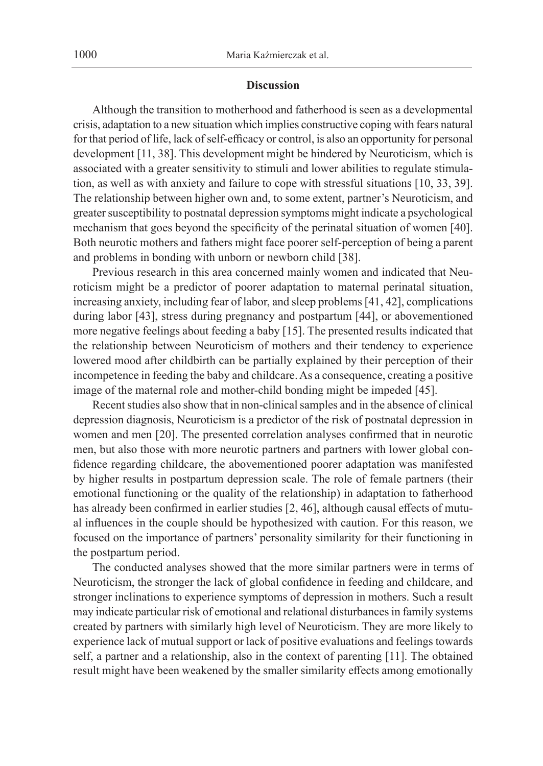#### **Discussion**

Although the transition to motherhood and fatherhood is seen as a developmental crisis, adaptation to a new situation which implies constructive coping with fears natural for that period of life, lack of self-efficacy or control, is also an opportunity for personal development [11, 38]. This development might be hindered by Neuroticism, which is associated with a greater sensitivity to stimuli and lower abilities to regulate stimulation, as well as with anxiety and failure to cope with stressful situations [10, 33, 39]. The relationship between higher own and, to some extent, partner's Neuroticism, and greater susceptibility to postnatal depression symptoms might indicate a psychological mechanism that goes beyond the specificity of the perinatal situation of women [40]. Both neurotic mothers and fathers might face poorer self-perception of being a parent and problems in bonding with unborn or newborn child [38].

Previous research in this area concerned mainly women and indicated that Neuroticism might be a predictor of poorer adaptation to maternal perinatal situation, increasing anxiety, including fear of labor, and sleep problems [41, 42], complications during labor [43], stress during pregnancy and postpartum [44], or abovementioned more negative feelings about feeding a baby [15]. The presented results indicated that the relationship between Neuroticism of mothers and their tendency to experience lowered mood after childbirth can be partially explained by their perception of their incompetence in feeding the baby and childcare. As a consequence, creating a positive image of the maternal role and mother-child bonding might be impeded [45].

Recent studies also show that in non-clinical samples and in the absence of clinical depression diagnosis, Neuroticism is a predictor of the risk of postnatal depression in women and men [20]. The presented correlation analyses confirmed that in neurotic men, but also those with more neurotic partners and partners with lower global confidence regarding childcare, the abovementioned poorer adaptation was manifested by higher results in postpartum depression scale. The role of female partners (their emotional functioning or the quality of the relationship) in adaptation to fatherhood has already been confirmed in earlier studies [2, 46], although causal effects of mutual influences in the couple should be hypothesized with caution. For this reason, we focused on the importance of partners' personality similarity for their functioning in the postpartum period.

The conducted analyses showed that the more similar partners were in terms of Neuroticism, the stronger the lack of global confidence in feeding and childcare, and stronger inclinations to experience symptoms of depression in mothers. Such a result may indicate particular risk of emotional and relational disturbances in family systems created by partners with similarly high level of Neuroticism. They are more likely to experience lack of mutual support or lack of positive evaluations and feelings towards self, a partner and a relationship, also in the context of parenting [11]. The obtained result might have been weakened by the smaller similarity effects among emotionally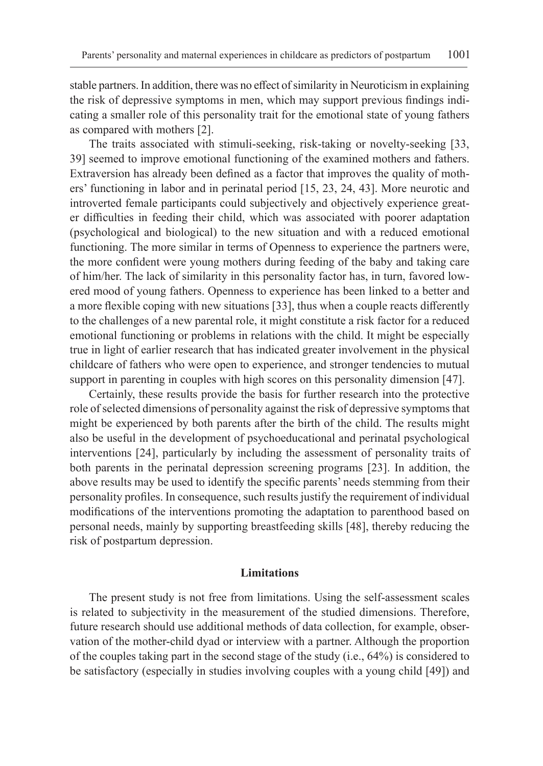stable partners. In addition, there was no effect of similarity in Neuroticism in explaining the risk of depressive symptoms in men, which may support previous findings indicating a smaller role of this personality trait for the emotional state of young fathers as compared with mothers [2].

The traits associated with stimuli-seeking, risk-taking or novelty-seeking [33, 39] seemed to improve emotional functioning of the examined mothers and fathers. Extraversion has already been defined as a factor that improves the quality of mothers' functioning in labor and in perinatal period [15, 23, 24, 43]. More neurotic and introverted female participants could subjectively and objectively experience greater difficulties in feeding their child, which was associated with poorer adaptation (psychological and biological) to the new situation and with a reduced emotional functioning. The more similar in terms of Openness to experience the partners were, the more confident were young mothers during feeding of the baby and taking care of him/her. The lack of similarity in this personality factor has, in turn, favored lowered mood of young fathers. Openness to experience has been linked to a better and a more flexible coping with new situations [33], thus when a couple reacts differently to the challenges of a new parental role, it might constitute a risk factor for a reduced emotional functioning or problems in relations with the child. It might be especially true in light of earlier research that has indicated greater involvement in the physical childcare of fathers who were open to experience, and stronger tendencies to mutual support in parenting in couples with high scores on this personality dimension [47].

Certainly, these results provide the basis for further research into the protective role of selected dimensions of personality against the risk of depressive symptoms that might be experienced by both parents after the birth of the child. The results might also be useful in the development of psychoeducational and perinatal psychological interventions [24], particularly by including the assessment of personality traits of both parents in the perinatal depression screening programs [23]. In addition, the above results may be used to identify the specific parents' needs stemming from their personality profiles. In consequence, such results justify the requirement of individual modifications of the interventions promoting the adaptation to parenthood based on personal needs, mainly by supporting breastfeeding skills [48], thereby reducing the risk of postpartum depression.

### **Limitations**

The present study is not free from limitations. Using the self-assessment scales is related to subjectivity in the measurement of the studied dimensions. Therefore, future research should use additional methods of data collection, for example, observation of the mother-child dyad or interview with a partner. Although the proportion of the couples taking part in the second stage of the study (i.e., 64%) is considered to be satisfactory (especially in studies involving couples with a young child [49]) and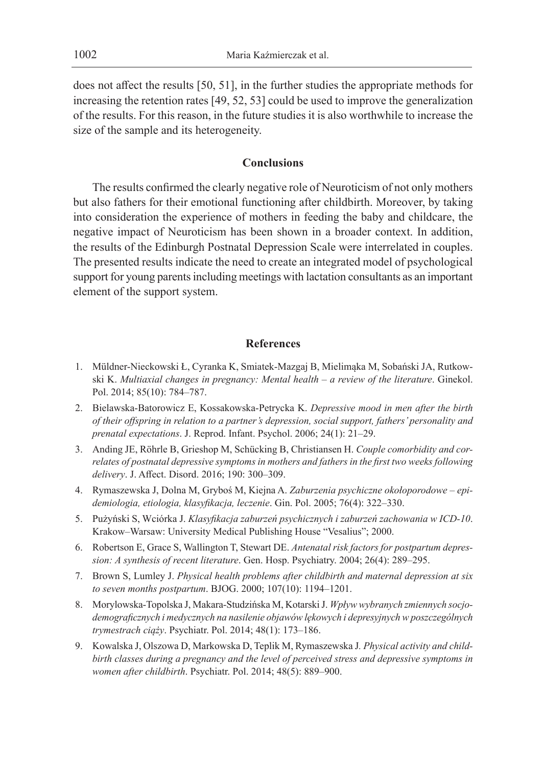does not affect the results [50, 51], in the further studies the appropriate methods for increasing the retention rates [49, 52, 53] could be used to improve the generalization of the results. For this reason, in the future studies it is also worthwhile to increase the size of the sample and its heterogeneity.

## **Conclusions**

The results confirmed the clearly negative role of Neuroticism of not only mothers but also fathers for their emotional functioning after childbirth. Moreover, by taking into consideration the experience of mothers in feeding the baby and childcare, the negative impact of Neuroticism has been shown in a broader context. In addition, the results of the Edinburgh Postnatal Depression Scale were interrelated in couples. The presented results indicate the need to create an integrated model of psychological support for young parents including meetings with lactation consultants as an important element of the support system.

## **References**

- 1. Müldner-Nieckowski Ł, Cyranka K, Smiatek-Mazgaj B, Mielimąka M, Sobański JA, Rutkowski K. *Multiaxial changes in pregnancy: Mental health – a review of the literature*. Ginekol. Pol. 2014; 85(10): 784–787.
- 2. Bielawska-Batorowicz E, Kossakowska-Petrycka K. *Depressive mood in men after the birth of their offspring in relation to a partner's depression, social support, fathers' personality and prenatal expectations*. J. Reprod. Infant. Psychol. 2006; 24(1): 21–29.
- 3. Anding JE, Röhrle B, Grieshop M, Schücking B, Christiansen H. *Couple comorbidity and correlates of postnatal depressive symptoms in mothers and fathers in the first two weeks following delivery*. J. Affect. Disord. 2016; 190: 300–309.
- 4. Rymaszewska J, Dolna M, Gryboś M, Kiejna A. *Zaburzenia psychiczne okołoporodowe epidemiologia, etiologia, klasyfikacja, leczenie*. Gin. Pol. 2005; 76(4): 322–330.
- 5. Pużyński S, Wciórka J. *Klasyfikacja zaburzeń psychicznych i zaburzeń zachowania w ICD-10*. Krakow–Warsaw: University Medical Publishing House "Vesalius"; 2000.
- 6. Robertson E, Grace S, Wallington T, Stewart DE. *Antenatal risk factors for postpartum depression: A synthesis of recent literature*. Gen. Hosp. Psychiatry. 2004; 26(4): 289–295.
- 7. Brown S, Lumley J. *Physical health problems after childbirth and maternal depression at six to seven months postpartum*. BJOG. 2000; 107(10): 1194–1201.
- 8. Morylowska-Topolska J, Makara-Studzińska M, Kotarski J. *Wpływ wybranych zmiennych socjodemograficznych i medycznych na nasilenie objawów lękowych i depresyjnych w poszczególnych trymestrach ciąży*. Psychiatr. Pol. 2014; 48(1): 173–186.
- 9. Kowalska J, Olszowa D, Markowska D, Teplik M, Rymaszewska J*. Physical activity and childbirth classes during a pregnancy and the level of perceived stress and depressive symptoms in women after childbirth*. Psychiatr. Pol. 2014; 48(5): 889–900.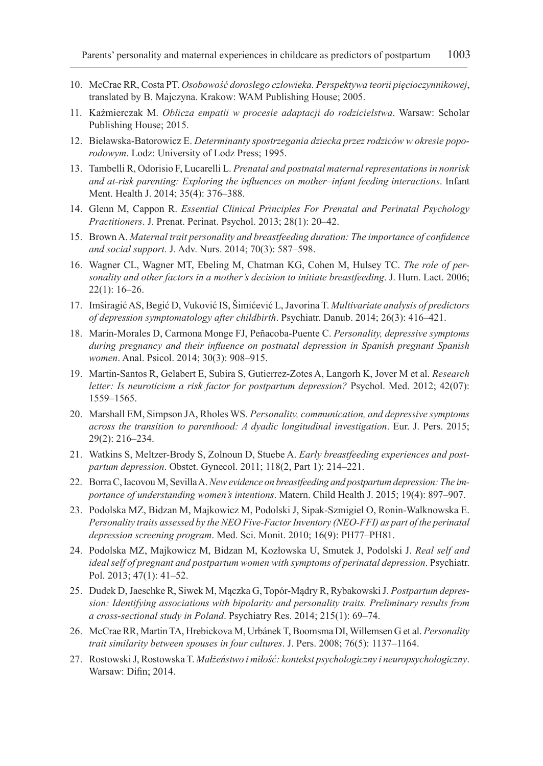- 10. McCrae RR, Costa PT. *Osobowość dorosłego człowieka. Perspektywa teorii pięcioczynnikowej*, translated by B. Majczyna. Krakow: WAM Publishing House; 2005.
- 11. Kaźmierczak M. *Oblicza empatii w procesie adaptacji do rodzicielstwa*. Warsaw: Scholar Publishing House; 2015.
- 12. Bielawska-Batorowicz E. *Determinanty spostrzegania dziecka przez rodziców w okresie poporodowym*. Lodz: University of Lodz Press; 1995.
- 13. Tambelli R, Odorisio F, Lucarelli L. *Prenatal and postnatal maternal representations in nonrisk and at-risk parenting: Exploring the influences on mother–infant feeding interactions*. Infant Ment. Health J. 2014; 35(4): 376–388.
- 14. Glenn M, Cappon R. *Essential Clinical Principles For Prenatal and Perinatal Psychology Practitioners*. J. Prenat. Perinat. Psychol. 2013; 28(1): 20–42.
- 15. Brown A. *Maternal trait personality and breastfeeding duration: The importance of confidence and social support*. J. Adv. Nurs. 2014; 70(3): 587–598.
- 16. Wagner CL, Wagner MT, Ebeling M, Chatman KG, Cohen M, Hulsey TC. *The role of personality and other factors in a mother's decision to initiate breastfeeding*. J. Hum. Lact. 2006; 22(1): 16–26.
- 17. Imširagić AS, Begić D, Vuković IS, Šimićević L, Javorina T. *Multivariate analysis of predictors of depression symptomatology after childbirth*. Psychiatr. Danub. 2014; 26(3): 416–421.
- 18. Marín-Morales D, Carmona Monge FJ, Peñacoba-Puente C. *Personality, depressive symptoms during pregnancy and their influence on postnatal depression in Spanish pregnant Spanish women*. Anal. Psicol. 2014; 30(3): 908–915.
- 19. Martin-Santos R, Gelabert E, Subira S, Gutierrez-Zotes A, Langorh K, Jover M et al. *Research letter: Is neuroticism a risk factor for postpartum depression?* Psychol. Med. 2012; 42(07): 1559–1565.
- 20. Marshall EM, Simpson JA, Rholes WS. *Personality, communication, and depressive symptoms across the transition to parenthood: A dyadic longitudinal investigation*. Eur. J. Pers. 2015; 29(2): 216–234.
- 21. Watkins S, Meltzer-Brody S, Zolnoun D, Stuebe A. *Early breastfeeding experiences and postpartum depression*. Obstet. Gynecol. 2011; 118(2, Part 1): 214–221.
- 22. Borra C, Iacovou M, Sevilla A. *New evidence on breastfeeding and postpartum depression: The importance of understanding women's intentions*. Matern. Child Health J. 2015; 19(4): 897–907.
- 23. Podolska MZ, Bidzan M, Majkowicz M, Podolski J, Sipak-Szmigiel O, Ronin-Walknowska E. *Personality traits assessed by the NEO Five-Factor Inventory (NEO-FFI) as part of the perinatal depression screening program*. Med. Sci. Monit. 2010; 16(9): PH77–PH81.
- 24. Podolska MZ, Majkowicz M, Bidzan M, Kozłowska U, Smutek J, Podolski J. *Real self and ideal self of pregnant and postpartum women with symptoms of perinatal depression*. Psychiatr. Pol. 2013; 47(1): 41–52.
- 25. Dudek D, Jaeschke R, Siwek M, Mączka G, Topór-Mądry R, Rybakowski J. *Postpartum depression: Identifying associations with bipolarity and personality traits. Preliminary results from a cross-sectional study in Poland*. Psychiatry Res. 2014; 215(1): 69–74.
- 26. McCrae RR, Martin TA, Hrebickova M, Urbánek T, Boomsma DI, Willemsen G et al. *Personality trait similarity between spouses in four cultures*. J. Pers. 2008; 76(5): 1137–1164.
- 27. Rostowski J, Rostowska T. *Małżeństwo i miłość: kontekst psychologiczny i neuropsychologiczny*. Warsaw: Difin; 2014.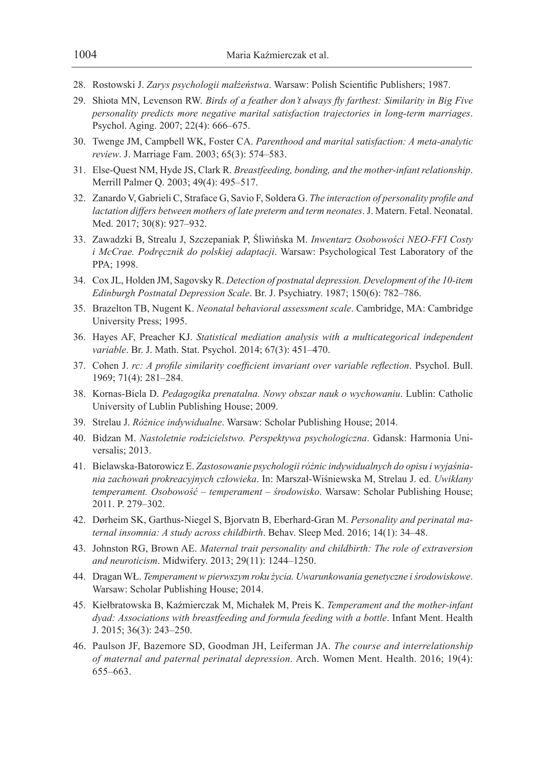- 28. Rostowski J. *Zarys psychologii małżeństwa*. Warsaw: Polish Scientific Publishers; 1987.
- 29. Shiota MN, Levenson RW. *Birds of a feather don't always fly farthest: Similarity in Big Five personality predicts more negative marital satisfaction trajectories in long-term marriages*. Psychol. Aging. 2007; 22(4): 666–675.
- 30. Twenge JM, Campbell WK, Foster CA. *Parenthood and marital satisfaction: A meta-analytic review*. J. Marriage Fam. 2003; 65(3): 574–583.
- 31. Else-Quest NM, Hyde JS, Clark R. *Breastfeeding, bonding, and the mother-infant relationship*. Merrill Palmer Q. 2003; 49(4): 495–517.
- 32. Zanardo V, Gabrieli C, Straface G, Savio F, Soldera G. *The interaction of personality profile and lactation differs between mothers of late preterm and term neonates*. J. Matern. Fetal. Neonatal. Med. 2017; 30(8): 927–932.
- 33. Zawadzki B, Strealu J, Szczepaniak P, Śliwińska M. *Inwentarz Osobowości NEO-FFI Costy i McCrae. Podręcznik do polskiej adaptacji*. Warsaw: Psychological Test Laboratory of the PPA; 1998.
- 34. Cox JL, Holden JM, Sagovsky R. *Detection of postnatal depression. Development of the 10-item Edinburgh Postnatal Depression Scale*. Br. J. Psychiatry. 1987; 150(6): 782–786.
- 35. Brazelton TB, Nugent K. *Neonatal behavioral assessment scale*. Cambridge, MA: Cambridge University Press; 1995.
- 36. Hayes AF, Preacher KJ. *Statistical mediation analysis with a multicategorical independent variable*. Br. J. Math. Stat. Psychol. 2014; 67(3): 451–470.
- 37. Cohen J. *rc: A profile similarity coefficient invariant over variable reflection*. Psychol. Bull. 1969; 71(4): 281–284.
- 38. Kornas-Biela D. *Pedagogika prenatalna. Nowy obszar nauk o wychowaniu*. Lublin: Catholic University of Lublin Publishing House; 2009.
- 39. Strelau J. *Różnice indywidualne*. Warsaw: Scholar Publishing House; 2014.
- 40. Bidzan M. *Nastoletnie rodzicielstwo. Perspektywa psychologiczna*. Gdansk: Harmonia Universalis; 2013.
- 41. Bielawska-Batorowicz E. *Zastosowanie psychologii różnic indywidualnych do opisu i wyjaśniania zachowań prokreacyjnych człowieka*. In: Marszał-Wiśniewska M, Strelau J. ed. *Uwikłany temperament. Osobowość – temperament – środowisko*. Warsaw: Scholar Publishing House; 2011. P. 279–302.
- 42. Dørheim SK, Garthus-Niegel S, Bjorvatn B, Eberhard-Gran M. *Personality and perinatal maternal insomnia: A study across childbirth*. Behav. Sleep Med. 2016; 14(1): 34–48.
- 43. Johnston RG, Brown AE. *Maternal trait personality and childbirth: The role of extraversion and neuroticism*. Midwifery. 2013; 29(11): 1244–1250.
- 44. Dragan WŁ. *Temperament w pierwszym roku życia. Uwarunkowania genetyczne iśrodowiskowe*. Warsaw: Scholar Publishing House; 2014.
- 45. Kiełbratowska B, Kaźmierczak M, Michałek M, Preis K. *Temperament and the mother-infant dyad: Associations with breastfeeding and formula feeding with a bottle*. Infant Ment. Health J. 2015; 36(3): 243–250.
- 46. Paulson JF, Bazemore SD, Goodman JH, Leiferman JA. *The course and interrelationship of maternal and paternal perinatal depression*. Arch. Women Ment. Health. 2016; 19(4): 655–663.